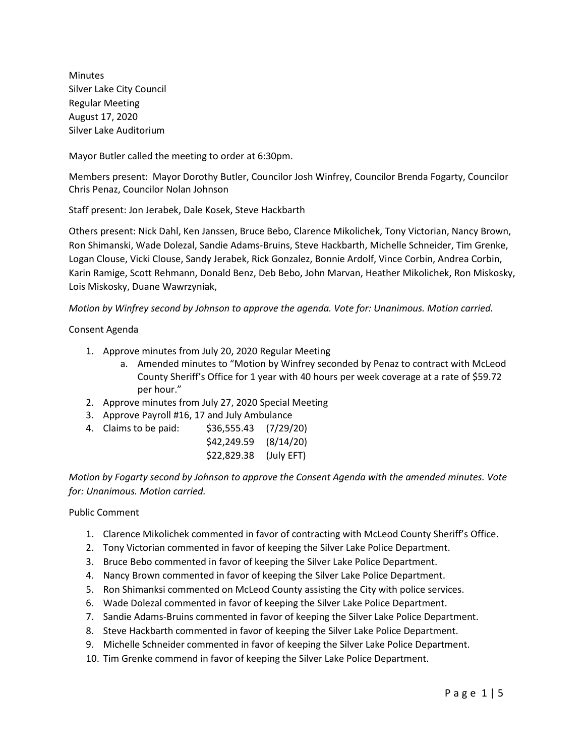Minutes Silver Lake City Council Regular Meeting August 17, 2020 Silver Lake Auditorium

Mayor Butler called the meeting to order at 6:30pm.

Members present: Mayor Dorothy Butler, Councilor Josh Winfrey, Councilor Brenda Fogarty, Councilor Chris Penaz, Councilor Nolan Johnson

Staff present: Jon Jerabek, Dale Kosek, Steve Hackbarth

Others present: Nick Dahl, Ken Janssen, Bruce Bebo, Clarence Mikolichek, Tony Victorian, Nancy Brown, Ron Shimanski, Wade Dolezal, Sandie Adams-Bruins, Steve Hackbarth, Michelle Schneider, Tim Grenke, Logan Clouse, Vicki Clouse, Sandy Jerabek, Rick Gonzalez, Bonnie Ardolf, Vince Corbin, Andrea Corbin, Karin Ramige, Scott Rehmann, Donald Benz, Deb Bebo, John Marvan, Heather Mikolichek, Ron Miskosky, Lois Miskosky, Duane Wawrzyniak,

*Motion by Winfrey second by Johnson to approve the agenda. Vote for: Unanimous. Motion carried.*

#### Consent Agenda

- 1. Approve minutes from July 20, 2020 Regular Meeting
	- a. Amended minutes to "Motion by Winfrey seconded by Penaz to contract with McLeod County Sheriff's Office for 1 year with 40 hours per week coverage at a rate of \$59.72 per hour."
- 2. Approve minutes from July 27, 2020 Special Meeting
- 3. Approve Payroll #16, 17 and July Ambulance
- 4. Claims to be paid: \$36,555.43 (7/29/20)

| \$42,249.59 | (8/14/20)  |
|-------------|------------|
| \$22,829.38 | (July EFT) |

*Motion by Fogarty second by Johnson to approve the Consent Agenda with the amended minutes. Vote for: Unanimous. Motion carried.*

#### Public Comment

- 1. Clarence Mikolichek commented in favor of contracting with McLeod County Sheriff's Office.
- 2. Tony Victorian commented in favor of keeping the Silver Lake Police Department.
- 3. Bruce Bebo commented in favor of keeping the Silver Lake Police Department.
- 4. Nancy Brown commented in favor of keeping the Silver Lake Police Department.
- 5. Ron Shimanksi commented on McLeod County assisting the City with police services.
- 6. Wade Dolezal commented in favor of keeping the Silver Lake Police Department.
- 7. Sandie Adams-Bruins commented in favor of keeping the Silver Lake Police Department.
- 8. Steve Hackbarth commented in favor of keeping the Silver Lake Police Department.
- 9. Michelle Schneider commented in favor of keeping the Silver Lake Police Department.
- 10. Tim Grenke commend in favor of keeping the Silver Lake Police Department.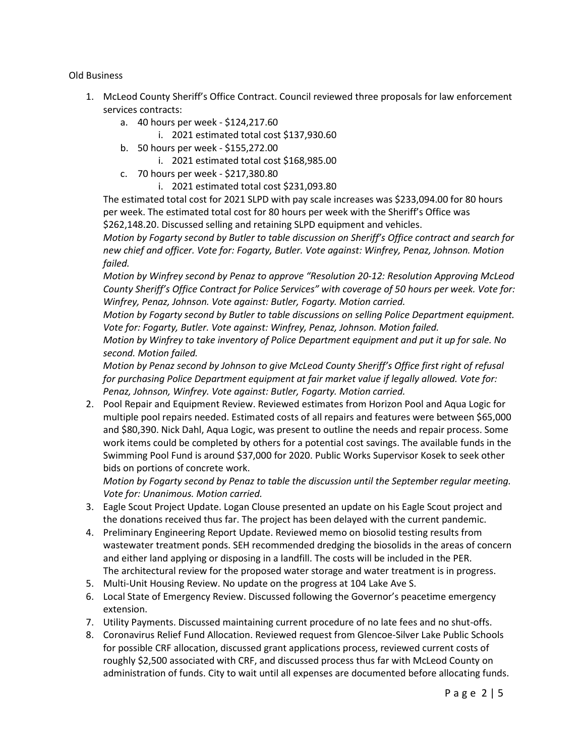### Old Business

- 1. McLeod County Sheriff's Office Contract. Council reviewed three proposals for law enforcement services contracts:
	- a. 40 hours per week \$124,217.60
		- i. 2021 estimated total cost \$137,930.60
	- b. 50 hours per week \$155,272.00
		- i. 2021 estimated total cost \$168,985.00
	- c. 70 hours per week \$217,380.80
		- i. 2021 estimated total cost \$231,093.80

The estimated total cost for 2021 SLPD with pay scale increases was \$233,094.00 for 80 hours per week. The estimated total cost for 80 hours per week with the Sheriff's Office was \$262,148.20. Discussed selling and retaining SLPD equipment and vehicles.

*Motion by Fogarty second by Butler to table discussion on Sheriff's Office contract and search for new chief and officer. Vote for: Fogarty, Butler. Vote against: Winfrey, Penaz, Johnson. Motion failed.*

*Motion by Winfrey second by Penaz to approve "Resolution 20-12: Resolution Approving McLeod County Sheriff's Office Contract for Police Services" with coverage of 50 hours per week. Vote for: Winfrey, Penaz, Johnson. Vote against: Butler, Fogarty. Motion carried.*

*Motion by Fogarty second by Butler to table discussions on selling Police Department equipment. Vote for: Fogarty, Butler. Vote against: Winfrey, Penaz, Johnson. Motion failed.*

*Motion by Winfrey to take inventory of Police Department equipment and put it up for sale. No second. Motion failed.* 

*Motion by Penaz second by Johnson to give McLeod County Sheriff's Office first right of refusal for purchasing Police Department equipment at fair market value if legally allowed. Vote for: Penaz, Johnson, Winfrey. Vote against: Butler, Fogarty. Motion carried.* 

2. Pool Repair and Equipment Review. Reviewed estimates from Horizon Pool and Aqua Logic for multiple pool repairs needed. Estimated costs of all repairs and features were between \$65,000 and \$80,390. Nick Dahl, Aqua Logic, was present to outline the needs and repair process. Some work items could be completed by others for a potential cost savings. The available funds in the Swimming Pool Fund is around \$37,000 for 2020. Public Works Supervisor Kosek to seek other bids on portions of concrete work.

*Motion by Fogarty second by Penaz to table the discussion until the September regular meeting. Vote for: Unanimous. Motion carried.* 

- 3. Eagle Scout Project Update. Logan Clouse presented an update on his Eagle Scout project and the donations received thus far. The project has been delayed with the current pandemic.
- 4. Preliminary Engineering Report Update. Reviewed memo on biosolid testing results from wastewater treatment ponds. SEH recommended dredging the biosolids in the areas of concern and either land applying or disposing in a landfill. The costs will be included in the PER. The architectural review for the proposed water storage and water treatment is in progress.
- 5. Multi-Unit Housing Review. No update on the progress at 104 Lake Ave S.
- 6. Local State of Emergency Review. Discussed following the Governor's peacetime emergency extension.
- 7. Utility Payments. Discussed maintaining current procedure of no late fees and no shut-offs.
- 8. Coronavirus Relief Fund Allocation. Reviewed request from Glencoe-Silver Lake Public Schools for possible CRF allocation, discussed grant applications process, reviewed current costs of roughly \$2,500 associated with CRF, and discussed process thus far with McLeod County on administration of funds. City to wait until all expenses are documented before allocating funds.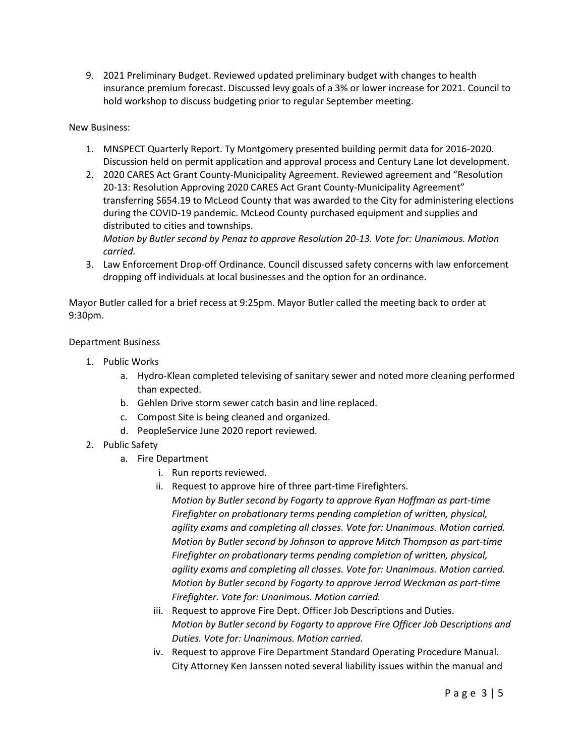9. 2021 Preliminary Budget. Reviewed updated preliminary budget with changes to health insurance premium forecast. Discussed levy goals of a 3% or lower increase for 2021. Council to hold workshop to discuss budgeting prior to regular September meeting.

### New Business:

- 1. MNSPECT Quarterly Report. Ty Montgomery presented building permit data for 2016-2020. Discussion held on permit application and approval process and Century Lane lot development.
- 2. 2020 CARES Act Grant County-Municipality Agreement. Reviewed agreement and "Resolution 20-13: Resolution Approving 2020 CARES Act Grant County-Municipality Agreement" transferring \$654.19 to McLeod County that was awarded to the City for administering elections during the COVID-19 pandemic. McLeod County purchased equipment and supplies and distributed to cities and townships.

*Motion by Butler second by Penaz to approve Resolution 20-13. Vote for: Unanimous. Motion carried.*

3. Law Enforcement Drop-off Ordinance. Council discussed safety concerns with law enforcement dropping off individuals at local businesses and the option for an ordinance.

Mayor Butler called for a brief recess at 9:25pm. Mayor Butler called the meeting back to order at 9:30pm.

### Department Business

- 1. Public Works
	- a. Hydro-Klean completed televising of sanitary sewer and noted more cleaning performed than expected.
	- b. Gehlen Drive storm sewer catch basin and line replaced.
	- c. Compost Site is being cleaned and organized.
	- d. PeopleService June 2020 report reviewed.
- 2. Public Safety
	- a. Fire Department
		- i. Run reports reviewed.
		- ii. Request to approve hire of three part-time Firefighters.
			- *Motion by Butler second by Fogarty to approve Ryan Hoffman as part-time Firefighter on probationary terms pending completion of written, physical, agility exams and completing all classes. Vote for: Unanimous. Motion carried. Motion by Butler second by Johnson to approve Mitch Thompson as part-time Firefighter on probationary terms pending completion of written, physical, agility exams and completing all classes. Vote for: Unanimous. Motion carried. Motion by Butler second by Fogarty to approve Jerrod Weckman as part-time Firefighter. Vote for: Unanimous. Motion carried.*
		- iii. Request to approve Fire Dept. Officer Job Descriptions and Duties. *Motion by Butler second by Fogarty to approve Fire Officer Job Descriptions and Duties. Vote for: Unanimous. Motion carried.*
		- iv. Request to approve Fire Department Standard Operating Procedure Manual. City Attorney Ken Janssen noted several liability issues within the manual and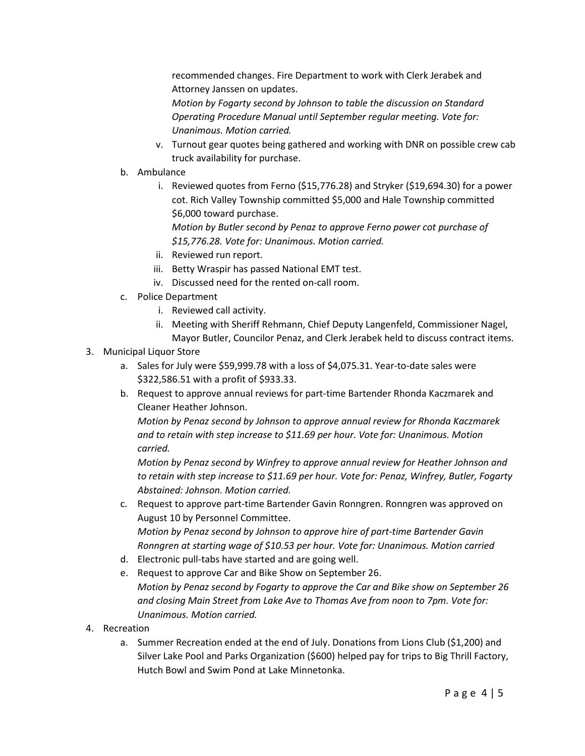recommended changes. Fire Department to work with Clerk Jerabek and Attorney Janssen on updates.

*Motion by Fogarty second by Johnson to table the discussion on Standard Operating Procedure Manual until September regular meeting. Vote for: Unanimous. Motion carried.* 

- v. Turnout gear quotes being gathered and working with DNR on possible crew cab truck availability for purchase.
- b. Ambulance
	- i. Reviewed quotes from Ferno (\$15,776.28) and Stryker (\$19,694.30) for a power cot. Rich Valley Township committed \$5,000 and Hale Township committed \$6,000 toward purchase.

*Motion by Butler second by Penaz to approve Ferno power cot purchase of \$15,776.28. Vote for: Unanimous. Motion carried.* 

- ii. Reviewed run report.
- iii. Betty Wraspir has passed National EMT test.
- iv. Discussed need for the rented on-call room.
- c. Police Department
	- i. Reviewed call activity.
	- ii. Meeting with Sheriff Rehmann, Chief Deputy Langenfeld, Commissioner Nagel, Mayor Butler, Councilor Penaz, and Clerk Jerabek held to discuss contract items.

### 3. Municipal Liquor Store

- a. Sales for July were \$59,999.78 with a loss of \$4,075.31. Year-to-date sales were \$322,586.51 with a profit of \$933.33.
- b. Request to approve annual reviews for part-time Bartender Rhonda Kaczmarek and Cleaner Heather Johnson.

*Motion by Penaz second by Johnson to approve annual review for Rhonda Kaczmarek and to retain with step increase to \$11.69 per hour. Vote for: Unanimous. Motion carried.*

*Motion by Penaz second by Winfrey to approve annual review for Heather Johnson and to retain with step increase to \$11.69 per hour. Vote for: Penaz, Winfrey, Butler, Fogarty Abstained: Johnson. Motion carried.*

- c. Request to approve part-time Bartender Gavin Ronngren. Ronngren was approved on August 10 by Personnel Committee. *Motion by Penaz second by Johnson to approve hire of part-time Bartender Gavin Ronngren at starting wage of \$10.53 per hour. Vote for: Unanimous. Motion carried*
- d. Electronic pull-tabs have started and are going well.
- e. Request to approve Car and Bike Show on September 26. *Motion by Penaz second by Fogarty to approve the Car and Bike show on September 26 and closing Main Street from Lake Ave to Thomas Ave from noon to 7pm. Vote for: Unanimous. Motion carried.*
- 4. Recreation
	- a. Summer Recreation ended at the end of July. Donations from Lions Club (\$1,200) and Silver Lake Pool and Parks Organization (\$600) helped pay for trips to Big Thrill Factory, Hutch Bowl and Swim Pond at Lake Minnetonka.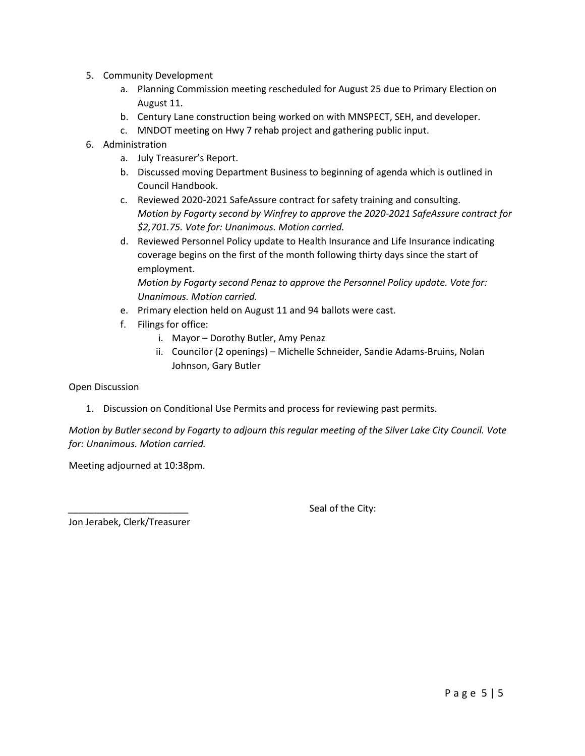- 5. Community Development
	- a. Planning Commission meeting rescheduled for August 25 due to Primary Election on August 11.
	- b. Century Lane construction being worked on with MNSPECT, SEH, and developer.
	- c. MNDOT meeting on Hwy 7 rehab project and gathering public input.
- 6. Administration
	- a. July Treasurer's Report.
	- b. Discussed moving Department Business to beginning of agenda which is outlined in Council Handbook.
	- c. Reviewed 2020-2021 SafeAssure contract for safety training and consulting. *Motion by Fogarty second by Winfrey to approve the 2020-2021 SafeAssure contract for \$2,701.75. Vote for: Unanimous. Motion carried.*
	- d. Reviewed Personnel Policy update to Health Insurance and Life Insurance indicating coverage begins on the first of the month following thirty days since the start of employment.

*Motion by Fogarty second Penaz to approve the Personnel Policy update. Vote for: Unanimous. Motion carried.* 

- e. Primary election held on August 11 and 94 ballots were cast.
- f. Filings for office:
	- i. Mayor Dorothy Butler, Amy Penaz
	- ii. Councilor (2 openings) Michelle Schneider, Sandie Adams-Bruins, Nolan Johnson, Gary Butler

Open Discussion

1. Discussion on Conditional Use Permits and process for reviewing past permits.

## *Motion by Butler second by Fogarty to adjourn this regular meeting of the Silver Lake City Council. Vote for: Unanimous. Motion carried.*

Meeting adjourned at 10:38pm.

Seal of the City:

Jon Jerabek, Clerk/Treasurer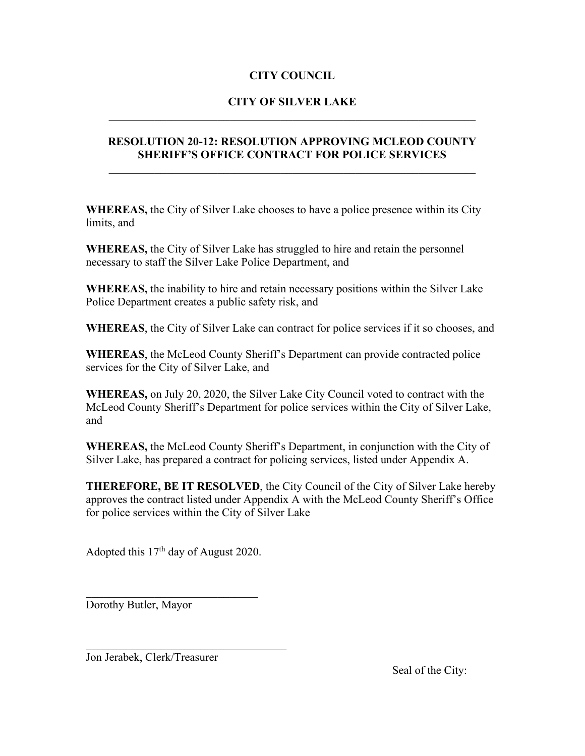# **CITY COUNCIL**

# **CITY OF SILVER LAKE** \_\_\_\_\_\_\_\_\_\_\_\_\_\_\_\_\_\_\_\_\_\_\_\_\_\_\_\_\_\_\_\_\_\_\_\_\_\_\_\_\_\_\_\_\_\_\_\_\_\_\_\_\_\_\_\_\_\_\_\_\_\_\_\_

# **RESOLUTION 20-12: RESOLUTION APPROVING MCLEOD COUNTY SHERIFF'S OFFICE CONTRACT FOR POLICE SERVICES**

**WHEREAS,** the City of Silver Lake chooses to have a police presence within its City limits, and

**WHEREAS,** the City of Silver Lake has struggled to hire and retain the personnel necessary to staff the Silver Lake Police Department, and

**WHEREAS,** the inability to hire and retain necessary positions within the Silver Lake Police Department creates a public safety risk, and

**WHEREAS**, the City of Silver Lake can contract for police services if it so chooses, and

**WHEREAS**, the McLeod County Sheriff's Department can provide contracted police services for the City of Silver Lake, and

**WHEREAS,** on July 20, 2020, the Silver Lake City Council voted to contract with the McLeod County Sheriff's Department for police services within the City of Silver Lake, and

**WHEREAS,** the McLeod County Sheriff's Department, in conjunction with the City of Silver Lake, has prepared a contract for policing services, listed under Appendix A.

**THEREFORE, BE IT RESOLVED**, the City Council of the City of Silver Lake hereby approves the contract listed under Appendix A with the McLeod County Sheriff's Office for police services within the City of Silver Lake

Adopted this  $17<sup>th</sup>$  day of August 2020.

 $\overline{\mathcal{L}}$  , and the set of the set of the set of the set of the set of the set of the set of the set of the set of the set of the set of the set of the set of the set of the set of the set of the set of the set of the s

Dorothy Butler, Mayor

Jon Jerabek, Clerk/Treasurer

Seal of the City: